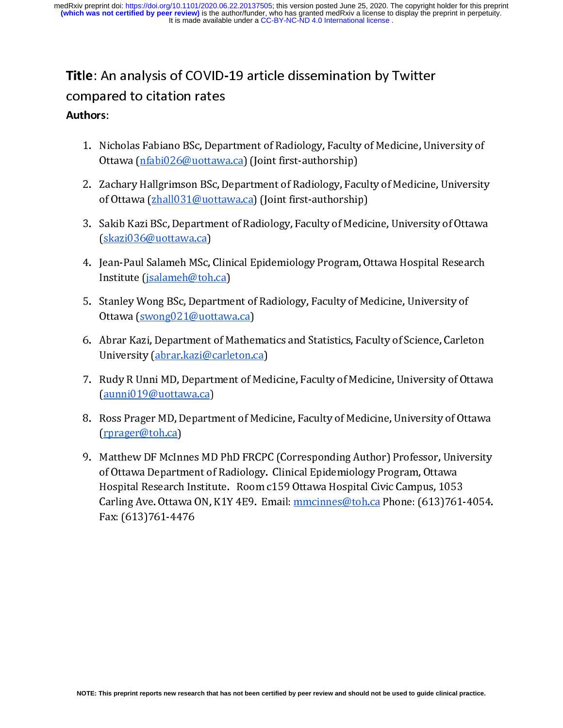# Title: An analysis of COVID-19 article dissemination by Twitter

# Authors:

- 
- **Authors:**<br>
1. Nicholas Fabiano BSc, Depa<br>
0ttawa (nfabi026@uottawa<br>
2. Zachary Hallgrimson BSc, D<br>
of Ottawa (zhall031@uotta<br>
3. Sakib Kazi BSc, Department<br>
(skazi036@uottawa.ca)<br>
4. Jean-Paul Salameh MSc, Clir<br>
Institute
	-
	- Ottawa (nfabi026@uottawa.ca) (Joint first-authorship)<br>
	2. Zachary Hallgrimson BSc, Department of Radiology, Faculty of Medicine, University<br>
	of Ottawa (zhall031@uottawa.ca) (Joint first-authorship)<br>
	3. Sakib Kazi BSc, Depa Eachary Hallgrimson BSc, Department of Radiology, Facof Ottawa <u>(zhall031@uottawa.ca</u>) (Joint first-authorship)<br>Sakib Kazi BSc, Department of Radiology, Faculty of Mederal Sakib Kazi BSc, Department of Radiology, Faculty o of Ottawa <u>(zhall031@uottawa.ca</u>) (Joint first-authorship)<br>
	2. Sakib Kazi BSc, Department of Radiology, Faculty of Medicine, University of Ottawa<br>
	<u>(skazi036@uottawa.ca</u>)<br>
	4. Jean-Paul Salameh MSc, Clinical Epidemiology Pr Sakib Kazi BSc, Department of Radiology, Faculty of Medic<br>(<u>skazi036@uottawa.ca)</u><br>Jean-Paul Salameh MSc, Clinical Epidemiology Program, O<br>Institute (j<u>salameh@toh.ca)</u><br>Stanley Wong BSc, Department of Radiology, Faculty of 3. Sakib Kazi Balameh MSc, Clinical Epidemiology Program, Ottawa Hospital Research<br>
	1. Sakib Kazi Balameh MSc, Clinical Epidemiology, Program, Ottawa Hospital Research<br>
	1. Stanley Wong BSc, Department of Radiology, Facult Jean-Paul Salameh MSc,<br>Jean-Paul Salameh@toh<br>Stanley Wong BSc, Depa:<br>Ottawa (<u>swong021@uot</u><br>Abrar Kazi, Department<br>University (<u>abrar.kazi@</u><br>Rudy R Unni MD, Depart<br>(<u>aunni019@uottawa.ca</u>)<br>Ross Prager MD, Departı
	-
	-
	-
	- 4. Institute (jsalameh@toh.ca)<br>
	5. Stanley Wong BSc, Department of Radiology, Faculty of Medicine, University of<br>
	0. Abrar Kazi, Department of Mathematics and Statistics, Faculty of Science, Carleton<br>
	University (abrar.kaz Institute (*Jammark Harry*)<br>Stanley Wong BSc, Departme<br>Ottawa (<u>swong021@uottaw</u><br>Abrar Kazi, Department of M<br>University (<u>abrar.kazi@carle</u><br>Rudy R Unni MD, Departmen<br>(<u>aunni019@uottawa.ca)</u><br>Ross Prager MD, Departmen<br>(rprag
	- The Matthew IF McInness MD PhD FRCPC (Corresponding Author) Professor, University (abrar.kazi@carleton.ca)<br>
	1. Rudy R Unni MD, Department of Medicine, Faculty of Medicine, University of Ot<br>
	(aunni019@uottawa.ca)<br>
	1. Ross P Abrar Kazi, Department of Mather<br>University (abrar.kazi@carleton.c<br>Rudy R Unni MD, Department of M<br>(aunni019@uottawa.ca)<br>Ross Prager MD, Department of M<br>(rprager@toh.ca)<br>Matthew DF McInnes MD PhD FR!<br>of Ottawa Department o For University (abrar Kazi@carleton.ca)<br>
	7. Rudy R Unni MD, Department of Medicine, Faculty of Medicine, University of Ottaw<br>
	(aunni019@uottawa.ca)<br>
	8. Ross Prager MD, Department of Medicine, Faculty of Medicine, Universit Rudy R Unni MD, Department of Mec<br>(<u>aunni019@uottawa.ca</u>)<br>Ross Prager MD, Department of Med<br>(rprager@toh.ca)<br>Matthew DF McInnes MD PhD FRCP(<br>of Ottawa Department of Radiology.<br>Hospital Research Institute. Room c<br>Carling Av (aunni019@uottawa.ca)<br>
	8. Ross Prager MD, Department of Medicine, Faculty of Medicine, University of Ottawa<br>
	(rprager@toh.ca)<br>
	9. Matthew DF McInnes MD PhD FRCPC (Corresponding Author) Professor, University<br>
	of Ottawa Depa Ross Prager MD, Departn<br>(rprager@toh.ca)<br>Matthew DF McInnes MD<br>of Ottawa Department of<br>Hospital Research Institu<br>Carling Ave. Ottawa ON, l<br>Fax: (613)761-4476 9. Matthew DF McInnes MD PhD FRCPC (Corresponding Author) Professor, University<br>of Ottawa Department of Radiology. Clinical Epidemiology Program, Ottawa<br>Hospital Research Institute. Room c159 Ottawa Hospital Civic Campus, Matthew DF McIni<br>of Ottawa Departn<br>Hospital Research<br>Carling Ave. Ottaw<br>Fax: (613)761-44 of Ottawa Department of Radiology. Clinical Epidemiology Program, Ottawa<br>Hospital Research Institute. Room c159 Ottawa Hospital Civic Campus, 1053<br>Carling Ave. Ottawa ON, K1Y 4E9. Email: <u>mmcinnes@toh.ca</u> Phone: (613)761-4 Hospital Research Institute. Room c159 Ottawa Hospital Civic Campus, 1053<br>Hospital Research Institute. Room c159 Ottawa Hospital Civic Campus, 1053<br>Carling Ave. Ottawa ON, K1Y 4E9. Email: <u>mmcinnes@toh.ca</u> Phone: (613)76:<br> Carling Ave. Ottawa ON, K1Y 4E9. Email: <u>mmcinnes@toh.ca</u> Phone: (613)761-<br>Fax: (613)761-4476<br>. Fax:  $(613)761-4476$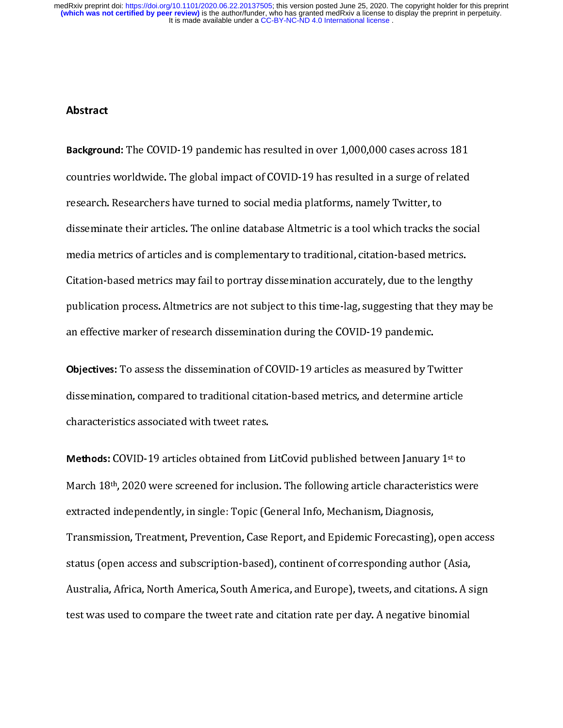$\frac{1}{2}$ Background: The COVID-19 pandemic has resulted in over 1,000,000 cases across 181<br>countries worldwide. The global impact of COVID-19 has resulted in a surge of related<br>research. Researchers have turned to social media plat research. Researchers have turned to social media platforms, namely Twitter, to<br>disseminate their articles. The online database Altmetric is a tool which tracks the soci<br>media metrics of articles and is complementary to tr research. The online database Altmetric is a tool which tracks the<br>media metrics of articles and is complementary to traditional, citation-based met<br>Citation-based metrics may fail to portray dissemination accurately, due media metrics of articles and is complementary to traditional, citation-based metrics.<br>Citation-based metrics may fail to portray dissemination accurately, due to the lengthy<br>publication process. Altmetrics are not subject Citation-based metrics may fail to portray dissemination accurately, due to the length<br>publication process. Altmetrics are not subject to this time-lag, suggesting that they m<br>an effective marker of research dissemination

publication process. Altmetrics are not subject to this time-lag, suggesting that they may<br>an effective marker of research dissemination during the COVID-19 pandemic.<br>**Objectives:** To assess the dissemination of COVID-19 a publication process. Alternative are not subject to this time-lag, suggesting time-lag, subjectives.<br> **Objectives:** To assess the dissemination of COVID-19 articles as measured by Twitter<br>
dissemination, compared to tradit **Objectives:** To assess the dissemination of COVID-19 articles as measured by Ty<br>dissemination, compared to traditional citation-based metrics, and determine a<br>characteristics associated with tweet rates.<br>**Methods:** COVID-

Objectives: To assess the dissemination of COVID-19 at detes as inclusioned by Twitter<br>dissemination, compared to traditional citation-based metrics, and determine article<br>characteristics associated with tweet rates.<br>Metho distributed in the tradition of the traditional city, and distributed metrical citation-<br>distributed in the traditional city of traditional city.<br>Methods: COVID-19 articles obtained from LitCovid published between January Methods: COVID-19 articles obtained from l<br>March 18<sup>th</sup>, 2020 were screened for inclusic<br>extracted independently, in single: Topic (G<br>Transmission, Treatment, Prevention, Case<br>status (open access and subscription-based<br>Aus Methods: COVID-19 articles obtained from Etcovid published between January 1 to<br>March 18<sup>th</sup>, 2020 were screened for inclusion. The following article characteristics we<br>extracted independently, in single: Topic (General In March 18<sup>th</sup>, 2020 were screened for inclusion. The following article characteristics were<br>extracted independently, in single: Topic (General Info, Mechanism, Diagnosis,<br>Transmission, Treatment, Prevention, Case Report, an Transmission, Treatment, Prevention, Case Report, and Epidemic Forecasting),<br>status (open access and subscription-based), continent of corresponding autho<br>Australia, Africa, North America, South America, and Europe), tweet Transmission, Treatment, Prevention, Part Prevention, Prevention, Case Report, Australia, Africa, North America, South America, and Europe), tweets, and citations. A sign<br>test was used to compare the tweet rate and citatio Australia, Africa, North America, South America, and Europe), tweets, and citations. A s<br>test was used to compare the tweet rate and citation rate per day. A negative binomial<br>test was used to compare the tweet rate and ci And America, Africa, Africa, Africa, Africa, Africa, and Europe), tweets, and changed the significant America,<br>test was used to compare the tweet rate and citation rate per day. A negative binomial test was used to compare the tweet rate and citation rate per day. A negative binomial  $\mathfrak{p}$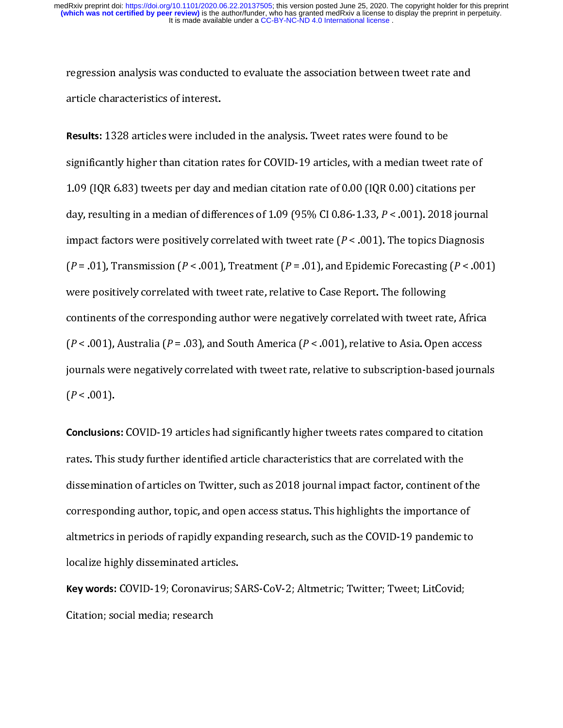article characteristics of interest.<br> **Results:** 1328 articles were included in the analysis. Tweet rates were found to be<br>
significantly higher than citation rates for COVID-19 articles, with a median tweet rate<br>
1.09 (I Results: 1328 articles were includ<br>significantly higher than citation is<br>1.09 (IQR 6.83) tweets per day an<br>day, resulting in a median of diffe<br>impact factors were positively cor<br>( $P = .01$ ), Transmission ( $P < .001$ ) significantly higher than citation rates for COVID-19 articles, with a median tweet<br>1.09 (IQR 6.83) tweets per day and median citation rate of 0.00 (IQR 0.00) citation<br>day, resulting in a median of differences of 1.09 (95 1.09 (IQR 6.83) tweets per day and median citation rate of 0.00 (IQR 0.00) citations per<br>day, resulting in a median of differences of 1.09 (95% CI 0.86-1.33,  $P < .001$ ). 2018 journa<br>impact factors were positively correlate day, resulting in a median of differences of 1.09 (95% CI 0.86-1.33,  $P < .001$ ). 2018 journ<br>impact factors were positively correlated with tweet rate ( $P < .001$ ). The topics Diagnosi<br>( $P = .01$ ), Transmission ( $P < .001$ ), Trea impact factors were positively correlated with tweet rate  $(P < .001)$ . The topics Diagnosis  $(P = .01)$ , Transmission  $(P < .001)$ , Treatment  $(P = .01)$ , and Epidemic Forecasting  $(P < .001)$  were positively correlated with tweet rate  $[P = .01)$ , Transmission ( $P < .001$ ), Treatment ( $P = .01$ ), and Epidemic Forecasting ( $P < .00$ <br>were positively correlated with tweet rate, relative to Case Report. The following<br>continents of the corresponding author were nega (P = .0.), Transmission (P = .0.), Transmission (P = .0.), and principle interpretation (P = .0.)<br>were positively correlated with tweet rate, relative to Case Report. The following<br>continents of the corresponding author w continents of the corresponding author were negatively correlated with tweet rat  $(P < .001)$ , Australia  $(P = .03)$ , and South America  $(P < .001)$ , relative to Asia. Open<br>journals were negatively correlated with tweet rate, rela  $(P < .001)$ , Australia  $(P = .03)$ , and South America  $(P < .001)$ , relative to Asia. Open access<br>journals were negatively correlated with tweet rate, relative to subscription-based journal<br> $(P < .001)$ .<br>**Conclusions:** COVID-19 arti

(P = 0.03), Ethiopian (P = 0.03), and South America (P = 0.03), Conduct O chain Span access<br>journals were negatively correlated with tweet rate, relative to subscription-based journa<br>( $P < .001$ ).<br>**Conclusions:** COVID-19 ar ( $P < .001$ ).<br>Conclusions: COVID-19 articles had significantly higher tweets rates compared to citation<br>rates. This study further identified article characteristics that are correlated with the<br>dissemination of articles on Conclusion:<br>
rates. This<br>
disseminat<br>
correspond<br>
altmetrics<br>
localize hig rates. This study further identified article characteristics that are correlated with the<br>dissemination of articles on Twitter, such as 2018 journal impact factor, continent of the<br>corresponding author, topic, and open acc dissemination of articles on Twitter, such as 2018 journal impact factor, continent of<br>corresponding author, topic, and open access status. This highlights the importance of<br>altmetrics in periods of rapidly expanding resea discription of altmetric of articles on Articles on Twitter, such as the COVID-19 pandemic to altmetrics in periods of rapidly expanding research, such as the COVID-19 pandemic to localize highly disseminated articles.<br>Rey corresponding author, to provide a statute statute culture in angle galaxie in any conduction<br>altmetrics in periods of rapidly expanding research, such as the COVID-19 pandemic to<br>localize highly disseminated articles.<br>Key

localize highly disseminated articles.<br> **Key words:** COVID-19; Coronavirus; SARS-CoV-2; Altmetric; Twitter; Tweet; LitCovid;<br>
Citation; social media; research Key words: COVID-19; Coronavirus; S.<br>Citation; social media; research<br> Key words: COVID-19; Coronavirus; SARS-CoV-2; Althetric; Twitter; Tweet; LitCovid;<br>Citation; social media; research Citation; social media; research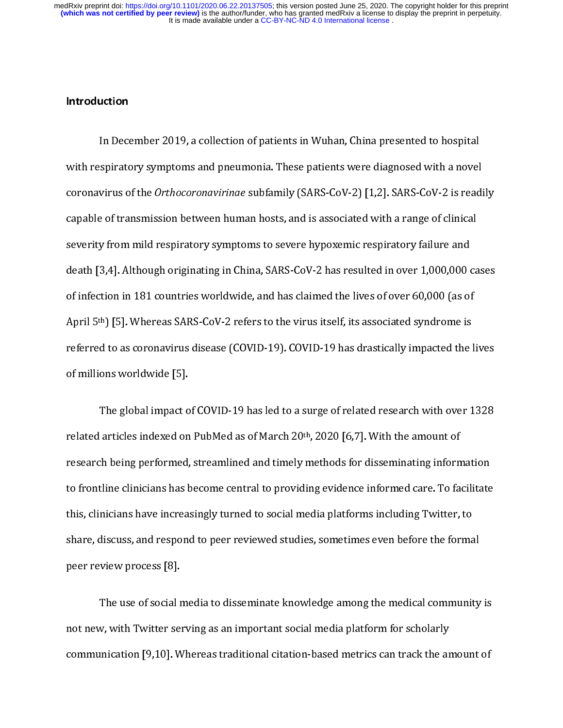## Introduction

In Premiers Premiers in Premiers in Multiply States in the premiers of the anovel<br>coronavirus of the *Orthocoronavirinae* subfamily (SARS-CoV-2) [1,2]. SARS-CoV-2 is read<br>capable of transmission between human hosts, and is coronavirus of the *Orthocoronavirinae* subfamily (SARS-CoV-2) [1,2]. SARS-CoV-2 is readi<br>capable of transmission between human hosts, and is associated with a range of clinical<br>severity from mild respiratory symptoms to s capable of transmission between human hosts, and is associated with a range of clinical<br>severity from mild respiratory symptoms to severe hypoxemic respiratory failure and<br>death [3,4]. Although originating in China, SARS-C severity from mild respiratory symptoms to severe hypoxemic respiratory failure and<br>death [3,4]. Although originating in China, SARS-CoV-2 has resulted in over 1,000,000 ca<br>of infection in 181 countries worldwide, and has severity from millions originating in China, SARS-CoV-2 has resulted in over 1,000,000 of infection in 181 countries worldwide, and has claimed the lives of over 60,000 (as of April 5<sup>th</sup>) [5]. Whereas SARS-CoV-2 refers to of infection in 181 countries worldwide, and has claimed the lives of over 60,000 (as of<br>April 5<sup>th</sup>) [5]. Whereas SARS-CoV-2 refers to the virus itself, its associated syndrome is<br>referred to as coronavirus disease (COVID of infection in 181 contained worldwide, and the little in the little country, the little countries dependence<br>referred to as coronavirus disease (COVID-19). COVID-19 has drastically impacted the l<br>of millions worldwide [5

April 5 J [5]. Whereas SARS-CoV-2 refers to the virus itself, its associated syndrome is<br>referred to as coronavirus disease (COVID-19). COVID-19 has drastically impacted the<br>of millions worldwide [5].<br>The global impact of referred to a surge of related research with over 1328<br>related articles indexed on PubMed as of March 20<sup>th</sup>, 2020 [6,7]. With the amount of<br>research being performed, streamlined and timely methods for disseminating inform The global impact of<br>related articles indexed on<br>research being performed,<br>to frontline clinicians has b<br>this, clinicians have increas<br>share, discuss, and respone articles indexed on PubMed as of March 20<sup>th</sup>, 2020 [6,7]. With the amount of<br>th being performed, streamlined and timely methods for disseminating information<br>tline clinicians has become central to providing evidence infor related articles intexed on PubMed as of March 20<sup>th</sup>, 2020 [6,7]. With the amount of<br>research being performed, streamlined and timely methods for disseminating inform<br>to frontline clinicians has become central to providin research being performed, streamlined and many include the discultuating information<br>to frontline clinicians have increasingly turned to social media platforms including Twitter, to<br>share, discuss, and respond to peer revi this, clinicians have increasingly turned to social media platforms including Twitter, to<br>share, discuss, and respond to peer reviewed studies, sometimes even before the formal<br>peer review process [8].<br>The use of social me

this, clinicians have increasingly turned to be changed the platforms including platform share, discuss, and respond to peer reviewed studies, sometimes even before the formal peer review process [8].<br>The use of social med share, and responsible performance, some that the formal community<br>peer review process [8].<br>The use of social media to disseminate knowledge among the medical community<br>not new, with Twitter serving as an important social The use of social r<br>not new, with Twitter sex<br>communication [9,10]. W w, with Twitter serving as an important social media platform for scholarly unication [9,10]. Whereas traditional citation-based metrics can track the amount of  $\frac{1}{2}$ communication [9,10]. Whereas traditional citation-based metrics can track the article media plane of social metrics of  $\mathbb{R}^2$ communication [9,100]. Whereas traditional citation-based metrics can tradition-based metrics can track the amount of  $\mathcal{C}$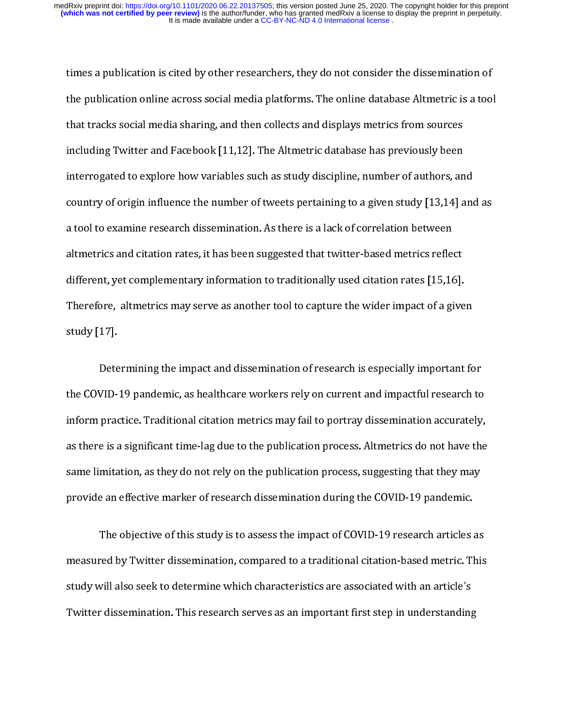the publication online across social media platforms. The online database Altmetric is a too<br>that tracks social media sharing, and then collects and displays metrics from sources<br>including Twitter and Facebook [11,12]. The f<br>that tracks social media sharing, and then collects and displays metrics from sources<br>including Twitter and Facebook [11,12]. The Altmetric database has previously been<br>interrogated to explore how variables such as study including Twitter and Facebook [11,12]. The Altmetric database has previously been<br>interrogated to explore how variables such as study discipline, number of authors, an<br>country of origin influence the number of tweets per interrogated to explore how variables such as study discipline, number of authors, an<br>country of origin influence the number of tweets pertaining to a given study [13,14] a<br>a tool to examine research dissemination. As ther country of origin influence the number of tweets pertaining to a given study [13,14] and<br>a tool to examine research dissemination. As there is a lack of correlation between<br>altmetrics and citation rates, it has been sugge country of origin influence the number of tweets pertaining to a given study  $[13,14]$  and as a lack of correlation between<br>altmetrics and citation rates, it has been suggested that twitter-based metrics reflect<br>different, altmetrics and citation rates, it has been suggested that twitter-based metrics refle<br>different, yet complementary information to traditionally used citation rates [15,16<br>Therefore, altmetrics may serve as another tool to different, yet complementary information to traditionally used citation rates [15,16].<br>Therefore, altmetrics may serve as another tool to capture the wider impact of a give<br>study [17].<br>Determining the impact and disseminat

Therefore, altmetrics may serve as another tool to capture the wider impact of a give<br>study [17].<br>Determining the impact and dissemination of research is especially important<br>the COVID-19 pandemic, as healthcare workers re Therefore, alternative and therefore, alternative as another tool to capture as another tool to capture for the<br>the COVID-19 pandemic, as healthcare workers rely on current and impactful research<br>inform practice. Tradition Dete<br>the COVID-<br>inform prace<br>as there is a<br>same limita<br>provide an VID-19 pandemic, as healthcare workers rely on current and impactful research to practice. Traditional citation metrics may fail to portray dissemination accurately e is a significant time-lag due to the publication proces the COVID-19 pandemic inform practice. Traditional citation metrics may fail to portray dissemination accurately,<br>as there is a significant time-lag due to the publication process. Altmetrics do not have the<br>same limitatio inform practice. Transmission interferency and terms process. Altmetrics do not have the same limitation, as they do not rely on the publication process, suggesting that they may provide an effective marker of research dis

as the limitation, as they do not rely on the publication process, suggesting that they may<br>provide an effective marker of research dissemination during the COVID-19 pandemic.<br>The objective of this study is to assess the i same and data of this study of the publication during the COVID-19 pandemic.<br>The objective of this study is to assess the impact of COVID-19 research articles as<br>measured by Twitter dissemination, compared to a traditional provided an empact of COVID-19 research articles<br>are assured by Twitter dissemination, compared to a traditional citation-based metric. T<br>study will also seek to determine which characteristics are associated with an artic The objective of this study is to a traditional citation-based metric. This will also seek to determine which characteristics are associated with an article's redissemination. This research serves as an important first ste measured by Twitter dissemination, compared to a traditional citation-based metric. This<br>study will also seek to determine which characteristics are associated with an article's<br>Twitter dissemination. This research serves study will also seek to determine which characteristics are associated with an article's<br>Twitter dissemination. This research serves as an important first step in understanding<br>inter dissemination. This research serves as Twitter dissemination. This research serves as an important first step in understanding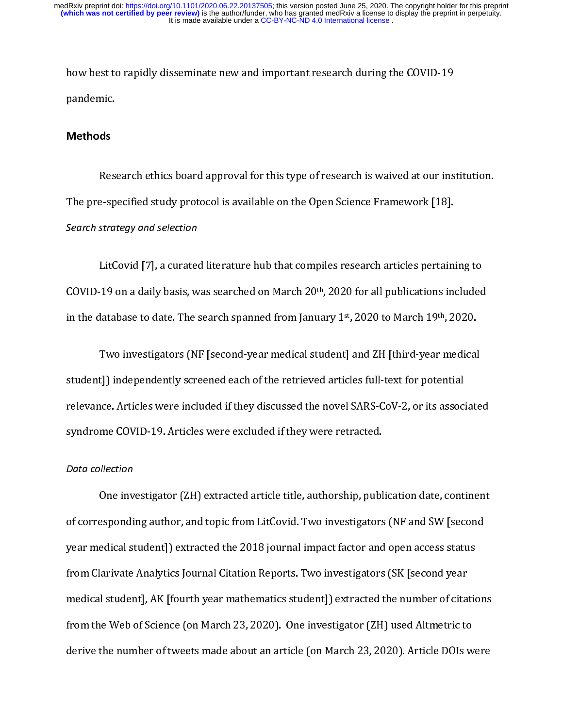modemic.<br> **Methods**<br>
Research ethics board approval for this type of research is waived at our ins<br>
The pre-specified study protocol is available on the Open Science Framework [18].<br>
Search strategy and selection pandemic<br>Methods<br>Res:<br>The pre-sp<br>Search stra:<br>LitC Search strategy and selection

Respecified study protocol is available on the Open Science Framework [18].<br>Strategy and selection<br>LitCovid [7], a curated literature hub that compiles research articles pertaining to<br>19 on a daily basis, was searched on M Search strategy and selection<br>LitCovid [7], a curated literature hub that compiles research articles pertain:<br>COVID-19 on a daily basis, was searched on March 20<sup>th</sup>, 2020 for all publications ine<br>in the database to date.

Little in a daily basis, was searched on March 20<sup>th</sup>, 2020 for all publications included<br>latabase to date. The search spanned from January 1<sup>st</sup>, 2020 to March 19<sup>th</sup>, 2020.<br>Two investigators (NF [second-year medical stud COVID-19 on a daily basis, was searched on March 20 , 2020 for all publications included<br>in the database to date. The search spanned from January 1st, 2020 to March 19<sup>th</sup>, 2020.<br>Two investigators (NF [second-year medical in the database to date. The search spanned from January 1-7, 2020 to March 19th, 2020.<br>Two investigators (NF [second-year medical student] and ZH [third-year medical<br>student]) independently screened each of the retrieved The independently screened each of the retrieved articles full-text for potential<br>time. Articles were included if they discussed the novel SARS-CoV-2, or its associate<br>me COVID-19. Articles were excluded if they were retra

### Data collection

relevance. Articles were included if they discussed the novel SARS-CoV-2, or its associ<br>syndrome COVID-19. Articles were excluded if they were retracted.<br>Data collection<br>One investigator (ZH) extracted article title, autho relevance COVID-19. Articles were excluded if they were retracted.<br>
Data collection<br>
One investigator (ZH) extracted article title, authorship, publication date, continent<br>
of corresponding author, and topic from LitCovid. System COVID-19. Articles were extended in the set of the contract were positional one investigator (ZH) extracted article title, authorship, publical of corresponding author, and topic from LitCovid. Two investigators wea of corresponding author, and topic from LitCovid. Two investigators (NF and SW [second<br>year medical student]) extracted the 2018 journal impact factor and open access status<br>from Clarivate Analytics Journal Citation Report of corresponding and the theory and the topical authority in the theory (or and the product parametical student) extracted the 2018 journal impact factor and open access status from Clarivate Analytics Journal Citation Rep from Clarivate Analytics Journal Citation Reports. Two investigators (SK [second year medical student], AK [fourth year mathematics student]) extracted the number of citation<br>from the Web of Science (on March 23, 2020). O from the Web of Science (on March 23, 2020). One investigator (ZH) used Altmetric to<br>from the Web of Science (on March 23, 2020). One investigator (ZH) used Altmetric to<br>derive the number of tweets made about an article (o medical student,  $\mu$  and  $\mu$  and  $\mu$  and  $\mu$  and  $\mu$  and  $\mu$  and  $\mu$  and  $\mu$  and  $\mu$  and  $\mu$  and  $\mu$  and  $\mu$  and  $\mu$  and  $\mu$  and  $\mu$  and  $\mu$  and  $\mu$  and  $\mu$  and  $\mu$  and  $\mu$  and  $\mu$  and  $\mu$  and  $\mu$  an derive the number of tweets made about an article (on March 23, 2020). Article DOIs w<br>derive the number of tweets made about an article (on March 23, 2020). Article DOIs w derive the number of tweets made about an article (on March 23, 2020). Article DOIs were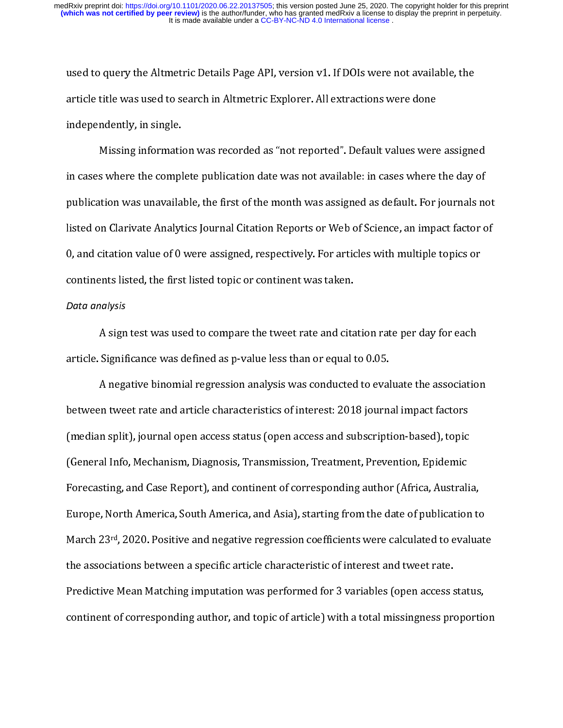article title was used to search in Altmetric Explorer. All extractions were done<br>independently, in single.<br>Missing information was recorded as "not reported". Default values were assigne<br>in cases where the complete public independently, in single.<br>
Missing information was recorded as "not reported". Default values were<br>
in cases where the complete publication date was not available: in cases where<br>
publication was unavailable, the first of Missing information<br>in cases where the compl<br>publication was unavaila<br>listed on Clarivate Analyt<br>0, and citation value of 0<br>continents listed, the firs<br>Data analysis in cases where the complete publication date was not available: in cases where the day of<br>publication was unavailable, the first of the month was assigned as default. For journals no<br>listed on Clarivate Analytics Journal C publication was unavailable, the first of the month was assigned as default. For journals no<br>listed on Clarivate Analytics Journal Citation Reports or Web of Science, an impact factor of<br>0, and citation value of 0 were ass publication was unauthority and distributed as property or Web of Science, an impact factor of<br>0, and citation value of 0 were assigned, respectively. For articles with multiple topics or<br>continents listed, the first liste 0, and citation value of 0 were assigned, respectively. For articles with multiple topics or<br>
continents listed, the first listed topic or continent was taken.<br>
Data analysis<br>
A sign test was used to compare the tweet rat

### Data analysis

continents listed, the first listed topic or continent was taken.<br>
Data analysis<br>
A sign test was used to compare the tweet rate and citation rate per day for each<br>
article. Significance was defined as p-value less than or Data analysis<br>
A sign test was used to compare the tweet rate and cita<br>
article. Significance was defined as p-value less than or equal t<br>
A negative binomial regression analysis was conducted<br>
between tweet rate and artic A significance was defined as p-value less than or equal to 0.05.<br>
A negative binomial regression analysis was conducted to evaluate the associatio<br>
between tweet rate and article characteristics of interest: 2018 journal article. Significance was defined as p-value less than or equal to the order<br>A negative binomial regression analysis was conducted to eval<br>between tweet rate and article characteristics of interest: 2018 journa<br>(median spl A negative binomial regression analysis was continued to evaluate in the association<br>in tweet rate and article characteristics of interest: 2018 journal impact factors<br>in split), journal open access status (open access and (median split), journal open access status (open access and subscription-based), topic<br>(General Info, Mechanism, Diagnosis, Transmission, Treatment, Prevention, Epidemic<br>Forecasting, and Case Report), and continent of corr (General Info, Mechanism, Diagnosis, Transmission, Treatment, Prevention, Epidemic<br>Forecasting, and Case Report), and continent of corresponding author (Africa, Australi<br>Europe, North America, South America, and Asia), sta Forecasting, and Case Report), and continent of corresponding author (Africa, Australi<br>Europe, North America, South America, and Asia), starting from the date of publication<br>March 23<sup>rd</sup>, 2020. Positive and negative regres Forecasting, and Case Report), and Castinate Process product (Case Report), such any<br>Europe, North America, South America, and Asia), starting from the date of publication to<br>March 23<sup>rd</sup>, 2020. Positive and negative regre Europe, March 23rd, 2020. Positive and negative regression coefficients were calculated to evaluat<br>the associations between a specific article characteristic of interest and tweet rate.<br>Predictive Mean Matching imputation March 23<sup>13</sup>, 2020. Positive and negative regression coefficients were calculated to evaluate<br>the associations between a specific article characteristic of interest and tweet rate.<br>Predictive Mean Matching imputation was p Predictive Mean Matching imputation was performed for 3 variables (open access s<br>continent of corresponding author, and topic of article) with a total missingness pro<br>continent of corresponding author, and topic of article Frequency of  $\frac{1}{2}$  continent of corresponding author, and topic of article) with a total missingness proportion<br>continent of corresponding author, and topic of article) with a total missingness proportion<br>of access st continent of corresponding author, and topic of proton article) with a total missingness proportion.<br>The corresponding and the corresponding of articles in the corresponding of the corresponding of the corresponding of the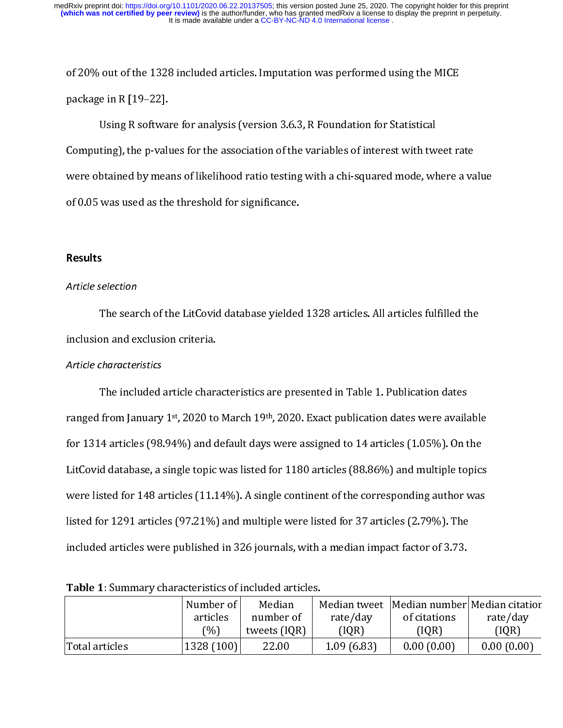package in R [19–22].<br>Using R software for analysis (version 3.6.3, R Foundation for Statistical<br>Computing), the p-values for the association of the variables of interest with tweet ra<br>were obtained by means of likelihood package in R Software<br>Computing), the p-valu<br>were obtained by mea<br>of 0.05 was used as the<br>Results Computing), the p-values for the association of the variables of interest with two<br>were obtained by means of likelihood ratio testing with a chi-squared mode, who<br>of 0.05 was used as the threshold for significance.<br>Results EV and the p-values of the p-values of the p-values of 0.05 was used as the threshold for significance.<br> **Results**<br> **Results**<br> **Results**<br>
The search of the LitCovid database yielded 1328 articles. All articles fulfilled th

### Article selection

of 0.05 was used as the threshold for significance.<br> **Results**<br>
Article selection<br>
The search of the LitCovid database yielded 1328 articles. All articles fulfilled the<br>
inclusion and exclusion criteria. Results<br>Article selection<br>The search of the LitCovid database yielded<br>inclusion and exclusion criteria.<br>Article characteristics

### Article characteristics

Inclusion and exclusion criteria.<br>
Article characteristics<br>
The included article characteristics are presented in Table 1. Publication dates<br>
ranged from January 1st, 2020 to March 19th, 2020. Exact publication dates were Article characteristics<br>
The included article chara<br>
ranged from January 1st, 2020 to<br>
for 1314 articles (98.94%) and c<br>
LitCovid database, a single topic<br>
were listed for 148 articles (97.21%) from January 1<sup>st</sup>, 2020 to March 19<sup>th</sup>, 2020. Exact publication dates were avails<br>4 articles (98.94%) and default days were assigned to 14 articles (1.05%). On t<br>6 d database, a single topic was listed for 1180 articles ranged from January 1<sup>st</sup>, 2020 to March 19<sup>th</sup>, 2020. Exact publication dates were available<br>for 1314 articles (98.94%) and default days were assigned to 14 articles (1.05%). On the<br>LitCovid database, a single topic was Effective Control of the Control of the Control of the Control of the Control of the Control of the Control of the Control of the Control of the Control of the Control of the Control of the Control of the Control of the Co Were listed for 148 articles (97.21%) and multiple were listed for 37 articles (2.79%). The<br>
included articles were published in 326 journals, with a median impact factor of 3.73.<br>
Table 1: Summary characteristics of incl

| listed for 1291 articles (97.21%) and multiple were listed for 37 articles (2.79%). The<br>included articles were published in 326 journals, with a median impact factor of 3.73.<br>Table 1: Summary characteristics of included articles.<br>Number of<br>Median number Median citatior<br>Median<br>Median tweet<br>number of<br>articles<br>rate/day<br>of citations<br>rate/day<br>(%)<br>tweets (IQR)<br>[IQR]<br>[IQR]<br>(IQR)<br>1328 (100)<br>1.09(6.83)<br>0.00(0.00)<br>0.00(0.00)<br>Total articles<br>22.00 |  |  |  |  |  |  |  |
|---------------------------------------------------------------------------------------------------------------------------------------------------------------------------------------------------------------------------------------------------------------------------------------------------------------------------------------------------------------------------------------------------------------------------------------------------------------------------------------------------------------------------|--|--|--|--|--|--|--|
|                                                                                                                                                                                                                                                                                                                                                                                                                                                                                                                           |  |  |  |  |  |  |  |
|                                                                                                                                                                                                                                                                                                                                                                                                                                                                                                                           |  |  |  |  |  |  |  |
|                                                                                                                                                                                                                                                                                                                                                                                                                                                                                                                           |  |  |  |  |  |  |  |
|                                                                                                                                                                                                                                                                                                                                                                                                                                                                                                                           |  |  |  |  |  |  |  |
|                                                                                                                                                                                                                                                                                                                                                                                                                                                                                                                           |  |  |  |  |  |  |  |
|                                                                                                                                                                                                                                                                                                                                                                                                                                                                                                                           |  |  |  |  |  |  |  |
|                                                                                                                                                                                                                                                                                                                                                                                                                                                                                                                           |  |  |  |  |  |  |  |
|                                                                                                                                                                                                                                                                                                                                                                                                                                                                                                                           |  |  |  |  |  |  |  |
|                                                                                                                                                                                                                                                                                                                                                                                                                                                                                                                           |  |  |  |  |  |  |  |
|                                                                                                                                                                                                                                                                                                                                                                                                                                                                                                                           |  |  |  |  |  |  |  |

Table 1: Summary characteristics of included articles.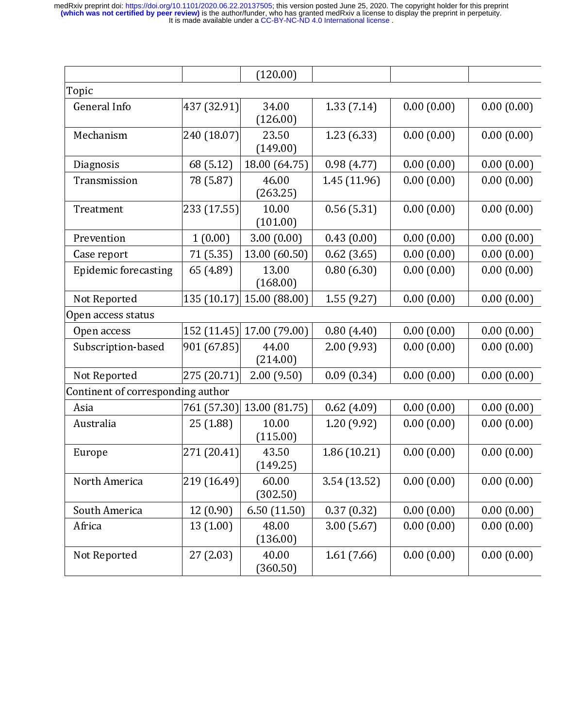|                                   |             | (120.00)                  |              |            |            |
|-----------------------------------|-------------|---------------------------|--------------|------------|------------|
| Topic                             |             |                           |              |            |            |
| General Info                      | 437 (32.91) | 34.00<br>(126.00)         | 1.33 (7.14)  | 0.00(0.00) | 0.00(0.00) |
| Mechanism                         | 240 (18.07) | 23.50<br>(149.00)         | 123 (6.33)   | 0.00(0.00) | 0.00(0.00) |
| Diagnosis                         | 68 (5.12)   | 18.00 (64.75)             | 0.98(4.77)   | 0.00(0.00) | 0.00(0.00) |
| Transmission                      | 78 (5.87)   | 46.00<br>(263.25)         | 1.45 (11.96) | 0.00(0.00) | 0.00(0.00) |
| Treatment                         | 233 (17.55) | 10.00<br>(101.00)         | 0.56(5.31)   | 0.00(0.00) | 0.00(0.00) |
| Prevention                        | 1(0.00)     | 3.00(0.00)                | 0.43(0.00)   | 0.00(0.00) | 0.00(0.00) |
| Case report                       | 71 (5.35)   | 13.00 (60.50)             | 0.62(3.65)   | 0.00(0.00) | 0.00(0.00) |
| Epidemic forecasting              | 65 (4.89)   | 13.00<br>(168.00)         | 0.80(6.30)   | 0.00(0.00) | 0.00(0.00) |
| Not Reported                      |             | 135 (10.17) 15.00 (88.00) | 1.55 (9.27)  | 0.00(0.00) | 0.00(0.00) |
| Open access status                |             |                           |              |            |            |
| Open access                       |             | 152 (11.45) 17.00 (79.00) | 0.80(4.40)   | 0.00(0.00) | 0.00(0.00) |
| Subscription-based                | 901 (67.85) | 44.00<br>(214.00)         | 200 (9.93)   | 0.00(0.00) | 0.00(0.00) |
| Not Reported                      | 275 (20.71) | 2.00(9.50)                | 0.09(0.34)   | 0.00(0.00) | 0.00(0.00) |
| Continent of corresponding author |             |                           |              |            |            |
| Asia                              | 761 (57.30) | 13.00 (81.75)             | 0.62(4.09)   | 0.00(0.00) | 0.00(0.00) |
| Australia                         | 25 (1.88)   | 10.00<br>(115.00)         | 1.20 (9.92)  | 0.00(0.00) | 0.00(0.00) |
| Europe                            | 271 (20.41) | 43.50<br>(149.25)         | 1.86 (10.21) | 0.00(0.00) | 0.00(0.00) |
| North America                     | 219 (16.49) | 60.00<br>(302.50)         | 3.54 (13.52) | 0.00(0.00) | 0.00(0.00) |
| South America                     | 12 (0.90)   | 6.50 (11.50)              | 0.37(0.32)   | 0.00(0.00) | 0.00(0.00) |
| Africa                            | 13(1.00)    | 48.00<br>(136.00)         | 3.00(5.67)   | 0.00(0.00) | 0.00(0.00) |
| Not Reported                      | 27(2.03)    | 40.00<br>(360.50)         | 161 (7.66)   | 0.00(0.00) | 0.00(0.00) |
|                                   |             |                           |              |            |            |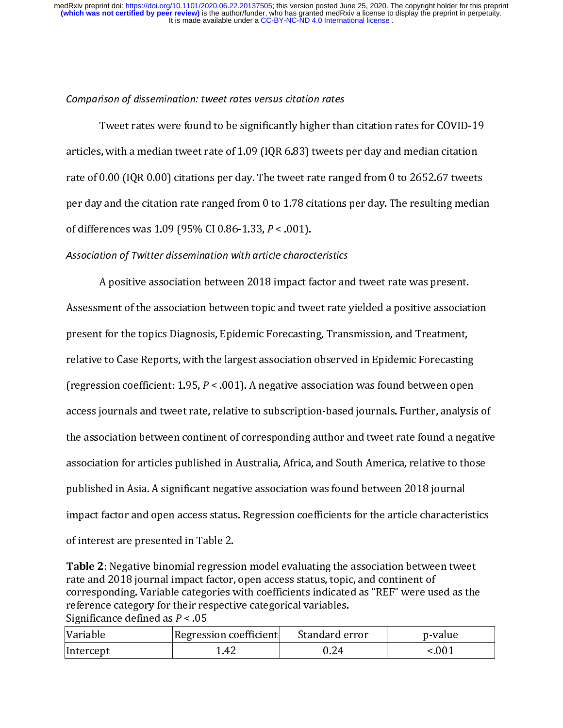### Comparison of dissemination: tweet rates versus citation rates

 $\begin{array}{c} \n\epsilon \n\end{array}$ articles, with a median tweet rate of 1.09 (IQR 6.83) tweets per day and median citation<br>rate of 0.00 (IQR 0.00) citations per day. The tweet rate ranged from 0 to 2652.67 tweets<br>per day and the citation rate ranged from rate of 0.00 (IQR 0.00) citations per day. The tweet rate ranged from 0 to 2652.67 tweets<br>per day and the citation rate ranged from 0 to 1.78 citations per day. The resulting media<br>of differences was 1.09 (95% CI 0.86-1.3

### Association of Twitter dissemination with article characteristics

rate of 0.000 (IQR 0.000) citation and the citation rate ranged from 0 to 1.78 citations per day. The resulting media:<br>of differences was 1.09 (95% CI 0.86-1.33,  $P < .001$ ).<br>Association of Twitter dissemination with article per differences was 1.09 (95% CI 0.86-1.33,  $P < .001$ ).<br>Association of Twitter dissemination with article characteristics<br>A positive association between 2018 impact factor and tweet rate was present.<br>Assessment of the asso Association of Twitter dissemination with article character and positive association between 2018 impact factors association between topic and two present for the topics Diagnosis, Epidemic Forecastin relative to Case Rep Assessment of the association between topic and tweet rate yielded a positive associat<br>present for the topics Diagnosis, Epidemic Forecasting, Transmission, and Treatment,<br>relative to Case Reports, with the largest associ The sesses for the topics Diagnosis, Epidemic Forecasting, Transmission, and Treatment,<br>relative to Case Reports, with the largest association observed in Epidemic Forecasting<br>(regression coefficient: 1.95,  $P < .001$ ). A ne present for the topics Digital Hargest association observed in Epidemic Forecasting<br>(regression coefficient: 1.95,  $P < .001$ ). A negative association was found between oper<br>access journals and tweet rate, relative to subscr regression coefficient: 1.95, *P* < .001). A negative association was found between open<br>access journals and tweet rate, relative to subscription-based journals. Further, analysis<br>the association between continent of corre (regerence of interestical and tweet rate, relative to subscription-based journals. Further, analysis<br>the association between continent of corresponding author and tweet rate found a nega<br>association for articles published access journals and territorial process formation and tweet rate found a negative<br>association for articles published in Australia, Africa, and South America, relative to those<br>published in Asia. A significant negative asso association for articles published in Australia, Africa, and South America, relative to those<br>published in Asia. A significant negative association was found between 2018 journal<br>impact factor and open access status. Regre published in Asia. A significant negative association was found between 2018 journal<br>
impact factor and open access status. Regression coefficients for the article characteristics<br>
of interest are presented in Table 2.<br> **T** 

mpact factor and open access status. Regression coefficients for the article characteriof interest are presented in Table 2.<br> **Table 2**: Negative binomial regression model evaluating the association between tween the rate From the article characteristic of the article characteristic of the article characteristic and 2018 journal impact factor, open access status, topic, and continent of corresponding. Variable categories with coefficients Table 2: Negative binomial regressinate and 2018 journal impact factor,<br>corresponding. Variable categories v<br>reference category for their respections Significance defined as  $P < .05$ <br>Variable Regression contracts in the Re The 2: The 2: Negative binomial regression coefficients indicated as "REF" were used as the reference category for their respective categorical variables.<br>
Significance defined as  $P < .05$ <br>
Variable Regression coefficient corresponding. Variable categories with coefficients indicated as "REF" were used the respective categorical variables.<br>
Significance defined as  $P < .05$ <br>
Variable Regression coefficient Standard error  $p-v$ <br>
Intercept  $1.4$ 

| 1.42<br>0.24 | Variable  | Regression coefficient | Standard error | p-value     |
|--------------|-----------|------------------------|----------------|-------------|
|              | Intercept |                        |                | ${}_{0.01}$ |
|              |           |                        |                |             |
|              |           |                        |                |             |
|              |           |                        |                |             |
|              |           |                        |                |             |
|              |           |                        |                |             |
|              |           |                        |                |             |
|              |           |                        |                |             |
|              |           |                        |                |             |
|              |           |                        |                |             |
|              |           |                        |                |             |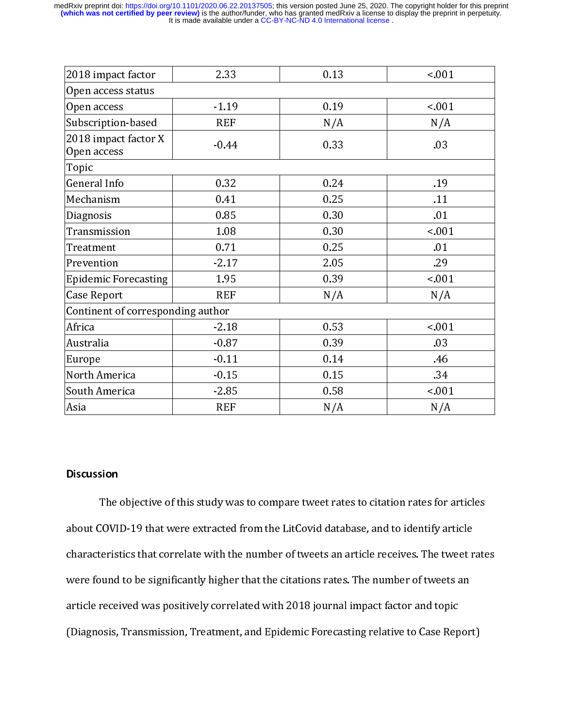| 2018 impact factor                                                                     | 2.33       | 0.13 | ${}_{0.01}$ |  |  |  |  |
|----------------------------------------------------------------------------------------|------------|------|-------------|--|--|--|--|
| Open access status                                                                     |            |      |             |  |  |  |  |
| Open access                                                                            | $-1.19$    | 0.19 | ${}_{001}$  |  |  |  |  |
| Subscription-based                                                                     | <b>REF</b> | N/A  | N/A         |  |  |  |  |
| 2018 impact factor X<br>Open access                                                    | $-0.44$    | 0.33 | .03         |  |  |  |  |
| Topic                                                                                  |            |      |             |  |  |  |  |
| General Info                                                                           | 0.32       | 0.24 | .19         |  |  |  |  |
| Mechanism                                                                              | 041        | 0.25 | .11         |  |  |  |  |
| Diagnosis                                                                              | 0.85       | 0.30 | 01          |  |  |  |  |
| Transmission                                                                           | 1.08       | 0.30 | ${}_{001}$  |  |  |  |  |
| Treatment                                                                              | 0.71       | 0.25 | 01          |  |  |  |  |
| Prevention                                                                             | $-2.17$    | 2.05 | .29         |  |  |  |  |
| <b>Epidemic Forecasting</b>                                                            | 1.95       | 0.39 | ${}_{001}$  |  |  |  |  |
| Case Report                                                                            | <b>REF</b> | N/A  | N/A         |  |  |  |  |
| Continent of corresponding author                                                      |            |      |             |  |  |  |  |
| Africa                                                                                 | $-2.18$    | 053  | ${}_{001}$  |  |  |  |  |
| Australia                                                                              | $-0.87$    | 0.39 | .03         |  |  |  |  |
| Europe                                                                                 | $-0.11$    | 0.14 | 46          |  |  |  |  |
| North America                                                                          | $-0.15$    | 0.15 | 34          |  |  |  |  |
| South America                                                                          | $-2.85$    | 0.58 | ${}_{001}$  |  |  |  |  |
| Asia                                                                                   | <b>REF</b> | N/A  | N/A         |  |  |  |  |
| <b>Discussion</b>                                                                      |            |      |             |  |  |  |  |
| The objective of this study was to compare tweet rates to citation rates for articles  |            |      |             |  |  |  |  |
| about COVID-19 that were extracted from the LitCovid database, and to identify article |            |      |             |  |  |  |  |

Nouth America<br>
South America<br>
Asia<br>
Asia<br>
Nota<br>
Nota<br>
Nota<br>
Nota<br>
Nota<br>
Nota<br>
Nota<br>
Nota<br>
Nota<br>
Nota<br>
Nota<br>
Nota<br>
Nota<br>
Nota<br>
Nota<br>
Nota<br>
Nota<br>
Nota<br>
Nota<br>
Nota<br>
Nota<br>
Nota<br>
Nota<br>
Nota<br>
Nota<br>
Nota<br>
Nota<br>
Nota<br>
Nota<br>
Nota<br> EXEMBERT MANUST THE MANUSIA<br>
Solarization<br>
Solarization<br>
The objective of this study was to compare tweet rates to citation rates for a<br>
about COVID-19 that were extracted from the LitCovid database, and to identify art<br>
c Discussion<br>The objective of this study was to compare tweet rates to citation rates for a<br>about COVID-19 that were extracted from the LitCovid database, and to identify ar<br>characteristics that correlate with the number of  $\begin{bmatrix} 1 & 1 \\ 1 & 1 \\ 1 & 1 \end{bmatrix}$  $rac{1}{3}$ The objective of the LitCovid database, and to identify article<br>teristics that correlate with the number of tweets an article receives. The tweet rate<br>and to be significantly higher that the citations rates. The number of characteristics that correlate with the number of tweets an article receives. The tweet r<br>were found to be significantly higher that the citations rates. The number of tweets an<br>article received was positively correlated w characteristics that correlate with the citations rates. The number of tweets an article received was positively correlated with 2018 journal impact factor and topic (Diagnosis, Transmission, Treatment, and Epidemic Foreca article received was positively correlated with 2018 journal impact factor and topic<br>(Diagnosis, Transmission, Treatment, and Epidemic Forecasting relative to Case Repor<br>) (Diagnosis, Transmission, Treatment, and Epidemic Forecasting relative to Case Rep<br>
1918 journal in particular factor and topical intervals of the Case Rep<br>
2018 journal in particular factor and topical intervals of the Ca (Diagnosis) Transmission, Transmission, Transmission, Transmission, Transmission, Transmission, Transmission,<br>The Case Report of Case Report of the Case Report of Case Report of the Case Report of the Case Report of the<br>Th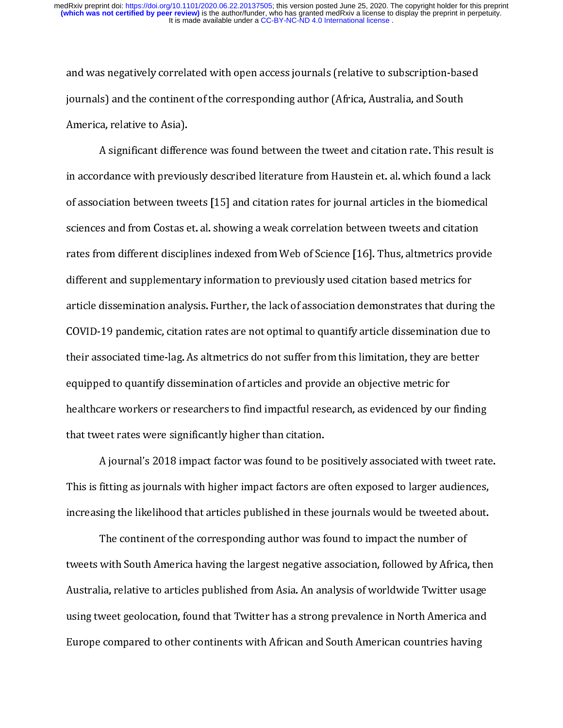journals) and the continent of the corresponding author (Africa, Australia, and South<br>America, relative to Asia).<br>A significant difference was found between the tweet and citation rate. This resul<br>in accordance with previo journals)<br>
America, relative to Asia).<br>
A significant difference was found between the tweet and citation rate. This re<br>
in accordance with previously described literature from Haustein et. al. which found at<br>
of associati A significant differe<br>
in accordance with previou<br>
of association between two<br>
sciences and from Costas e<br>
rates from different discip<br>
different and supplementa<br>
article dissemination analy rdance with previously described literature from Haustein et. al. which found a lack<br>ciation between tweets [15] and citation rates for journal articles in the biomedical<br>s and from Costas et. al. showing a weak correlatio for association between tweets [15] and citation rates for journal articles in the biomedical<br>sciences and from Costas et. al. showing a weak correlation between tweets and citation<br>rates from different disciplines indexed of associated from Costas et. al. showing a weak correlation between tweets and citation<br>rates from different disciplines indexed from Web of Science [16]. Thus, altmetrics provide<br>different and supplementary information t science [16]. Thus, altmetrics provided interests and from Web of Science [16]. Thus, altmetrics provided internal supplementary information to previously used citation based metrics for article dissemination analysis. Fur different and supplementary information to previously used citation based metrics for<br>article dissemination analysis. Further, the lack of association demonstrates that during the<br>COVID-19 pandemic, citation rates are not and substitute and supplementary information to performance metric and substitute to a<br>article dissemination analysis. Further, the lack of association demonstrates that during<br>COVID-19 pandemic, citation rates are not opt article dissemination analysis. Further, the latter and to quantify article dissemination due to<br>covid-19 pandemic, citation rates are not optimal to quantify article dissemination due to<br>their associated time-lag. As altm Their associated time-lag. As altmetrics do not suffer from this limitation, they are better<br>equipped to quantify dissemination of articles and provide an objective metric for<br>healthcare workers or researchers to find impa equipped to quantify dissemination of articles and provide an objective metric for<br>healthcare workers or researchers to find impactful research, as evidenced by our findin,<br>that tweet rates were significantly higher than c

equipped to quantity distribution of article and provide an opposite interferenced by our that tweet rates were significantly higher than citation.<br>A journal's 2018 impact factor was found to be positively associated with that tweet rates were significantly higher than citation.<br>
A journal's 2018 impact factor was found to be positively associated with tweet rate<br>
This is fitting as journals with higher impact factors are often exposed to l

A journal's 2018 impact factor was found to be p<br>This is fitting as journals with higher impact factors are<br>increasing the likelihood that articles published in these<br>The continent of the corresponding author was f<br>tweets A journal's 2018 impact factors are often exposed to larger audiences,<br>
fitting as journals with higher impact factors are often exposed to larger audiences,<br>
The continent of the corresponding author was found to impact t The continent of the corresponding author was found to impact the number of tweeted about.<br>The continent of the corresponding author was found to impact the number of<br>tweets with South America having the largest negative a Increasing the limitation interaction that are probable into a stream are in the number of<br>tweets with South America having the largest negative association, followed by Africa, ther<br>Australia, relative to articles publish The continuous time corresponding and to the continuous impact the number of the correction, followed by Africa,<br>iia, relative to articles published from Asia. An analysis of worldwide Twitter us<br>weet geolocation, found th Australia, relative to articles published from Asia. An analysis of worldwide Twitter usage<br>using tweet geolocation, found that Twitter has a strong prevalence in North America and<br>Europe compared to other continents with Australia, relative to article published article in analysis of worldwide charge and<br>using tweet geolocation, found that Twitter has a strong prevalence in North America and<br>Europe compared to other continents with African Europe compared to other continents with African and South American countries having<br>Europe compared to other continents with African and South American countries having Europe compared to other continents with African and South American countries having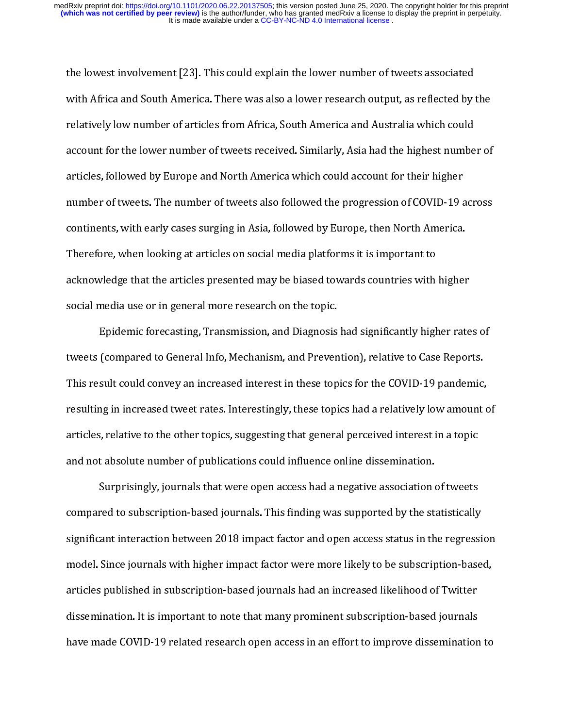with Africa and South America. There was also a lower research output, as reflected by relatively low number of articles from Africa, South America and Australia which could account for the lower number of tweets received. relatively low number of articles from Africa, South America and Australia which could<br>account for the lower number of tweets received. Similarly, Asia had the highest number of<br>articles, followed by Europe and North Ameri account for the lower number of tweets received. Similarly, Asia had the highest numbe<br>articles, followed by Europe and North America which could account for their higher<br>number of tweets. The number of tweets also followe articles, followed by Europe and North America which could account for their higher<br>number of tweets. The number of tweets also followed the progression of COVID-19 across<br>continents, with early cases surging in Asia, foll mumber of tweets. The number of tweets also followed the progression of COVID-19 a<br>continents, with early cases surging in Asia, followed by Europe, then North America.<br>Therefore, when looking at articles on social media p number of tweets, with early cases surging in Asia, followed by Europe, then North America.<br>Therefore, when looking at articles on social media platforms it is important to<br>acknowledge that the articles presented may be bi

Therefore, when looking at articles on social media platforms it is important to<br>acknowledge that the articles presented may be biased towards countries with higher<br>social media use or in general more research on the topic Therefore, and the articles presented may be biased towards countries with<br>social media use or in general more research on the topic.<br>Epidemic forecasting, Transmission, and Diagnosis had significantly high<br>tweets (compare social media use or in general more research on the topic.<br>
Epidemic forecasting, Transmission, and Diagnosis had significantly higher rate<br>
tweets (compared to General Info, Mechanism, and Prevention), relative to Case Re Epidemic forecasting, Transmission, and Diagnosis<br>tweets (compared to General Info, Mechanism, and Preven<br>This result could convey an increased interest in these top<br>resulting in increased tweet rates. Interestingly, these Epidemic forecast (compared to General Info, Mechanism, and Prevention), relative to Case Reports.<br>
sult could convey an increased interest in these topics for the COVID-19 pandemic,<br>
in increased tweet rates. Interestingl This result could convey an increased interest in these topics for the COVID-19 pandemic,<br>resulting in increased tweet rates. Interestingly, these topics had a relatively low amount<br>articles, relative to the other topics,

This resulting in increased tweet rates. Interestingly, these topics had a relatively low amount carticles, relative to the other topics, suggesting that general perceived interest in a topic and not absolute number of pub resulting in an external content results inaggly, and supplementational report<br>and not absolute number of publications could influence online dissemination.<br>Surprisingly, journals that were open access had a negative assoc and not absolute number of publications could influence online dissemination.<br>
Surprisingly, journals that were open access had a negative association of tweets<br>
compared to subscription-based journals. This finding was su Surprisingly, journals that were open access had a negative association compared to subscription-based journals. This finding was supported by the st<br>significant interaction between 2018 impact factor and open access statu Furtherm and that were penalties and a negative assemble to subscription-based journals. This finding was supported by the statistically ant interaction between 2018 impact factor and open access status in the regress Sinc example to text entering the states) channel take subscription-based in the regression model. Since journals with higher impact factor were more likely to be subscription-based articles published in subscription-based jour significant interaction between 2018 impact factor were more likely to be subscription-based,<br>articles published in subscription-based journals had an increased likelihood of Twitter<br>dissemination. It is important to note articles published in subscription-based journals had an increased likelihood of Twitter<br>dissemination. It is important to note that many prominent subscription-based journals<br>have made COVID-19 related research open acces dissemination. It is important to note that many prominent subscription-based journals<br>have made COVID-19 related research open access in an effort to improve dissemination<br>have made COVID-19 related research open access i have made COVID-19 related research open access in an effort to improve dissemination-<br>have made COVID-19 related research open access in an effort to improve disseminationhave made Covid-19 related research open access in an effort to improve dissemination to improve dissemination<br>The covid-19 related research open access in an effort to improve dissemination to improve distrements in an e<br>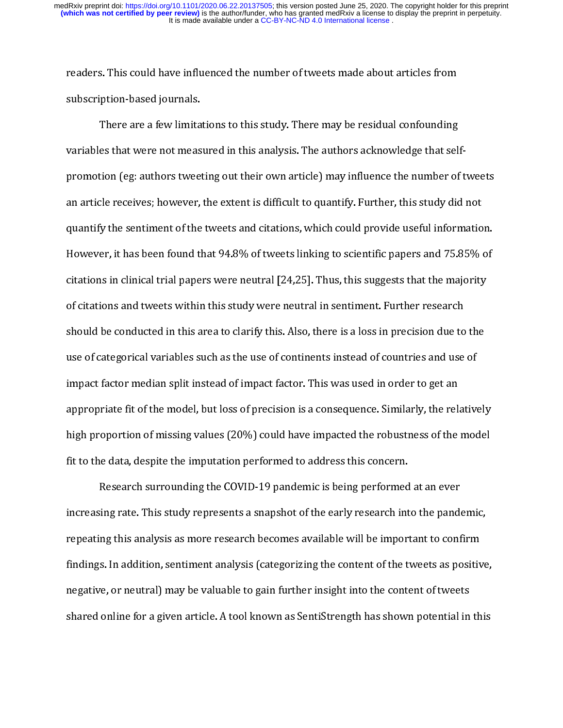readers. This could have influenced the number of tweets made about articles from

subscription-based journals.<br>There are a few limitations to this study. There may be residual confounding<br>variables that were not measured in this analysis. The authors acknowledge that sel<br>promotion (eg: authors tweeting There are a few limita<br>variables that were not meas<br>promotion (eg: authors tweet<br>an article receives; however,<br>quantify the sentiment of the<br>However, it has been found tl<br>citations in clinical trial nane es that were not measured in this analysis. The authors acknowledge that sel<br>tion (eg: authors tweeting out their own article) may influence the number of<br>cle receives; however, the extent is difficult to quantify. Further should be conducted in this area to clarify this. Also, there is a loss in precision due to the promotion and article receives; however, the extent is difficult to quantify. Further, this study did not<br>quantify the sentiment of the tweets and citations, which could provide useful information.<br>However, it has been fou an article receiver, and controls and citations, which could provide useful informatio<br>quantify the sentiment of the tweets and citations, which could provide useful informatio<br>However, it has been found that 94.8% of twee Framewore, it has been found that 94.8% of tweets linking to scientific papers and 75.85% of<br>citations in clinical trial papers were neutral [24,25]. Thus, this suggests that the majority<br>of citations and tweets within thi extrations in clinical trial papers were neutral [24,25]. Thus, this suggests that the majority<br>of citations and tweets within this study were neutral in sentiment. Further research<br>should be conducted in this area to cla conditions and tweets within this study were neutral in sentiment. Further research<br>should be conducted in this area to clarify this. Also, there is a loss in precision due to the<br>use of categorical variables such as the u should be conducted in this area to clarify this. Also, there is a loss in precision due to<br>use of categorical variables such as the use of continents instead of countries and use<br>impact factor median split instead of impa should be continents instead of countries and use of<br>impact factor median split instead of impact factor. This was used in order to get an<br>appropriate fit of the model, but loss of precision is a consequence. Similarly, th impact factor median split instead of impact factor. This was used in order to get an<br>appropriate fit of the model, but loss of precision is a consequence. Similarly, the relative<br>high proportion of missing values (20%) co

impropriate fit of the model, but loss of precision is a consequence. Similarly, the relation proportion of missing values (20%) could have impacted the robustness of the fit to the data, despite the imputation performed t appropriant fit of the model, and the model of the model fit to the data, despite the imputation performed to address this concern.<br>Research surrounding the COVID-19 pandemic is being performed at an ever<br>increasing rate. fit to the data, despite the imputation performed to address this concern.<br>
Research surrounding the COVID-19 pandemic is being performed at an ever<br>
increasing rate. This study represents a snapshot of the early research First the data, despite the impulsion performance in additional Research surrounding the COVID-19 pandemic is being performed increasing rate. This study represents a snapshot of the early research interpeating this analys Increasing rate. This study represents a snapshot of the early research into the pand<br>repeating this analysis as more research becomes available will be important to conf<br>findings. In addition, sentiment analysis (categori increasing this analysis as more research becomes available will be important to confirm<br>findings. In addition, sentiment analysis (categorizing the content of the tweets as positive<br>negative, or neutral) may be valuable t repeating this analysis are interested by the content of the tweets as positive<br>findings. In addition, sentiment analysis (categorizing the content of the tweets as positive<br>negative, or neutral) may be valuable to gain fu findings. In addition, sending and content of the two categorizing the content of tweets are predicted on the valuable to gain further insight into the content of tweets shared online for a given article. A tool known as S shared online for a given article. A tool known as SentiStrength has shown potential in<br>shared online for a given article. A tool known as SentiStrength has shown potential in shared online for a given article. A tool known as SentiStrength has shown potential in this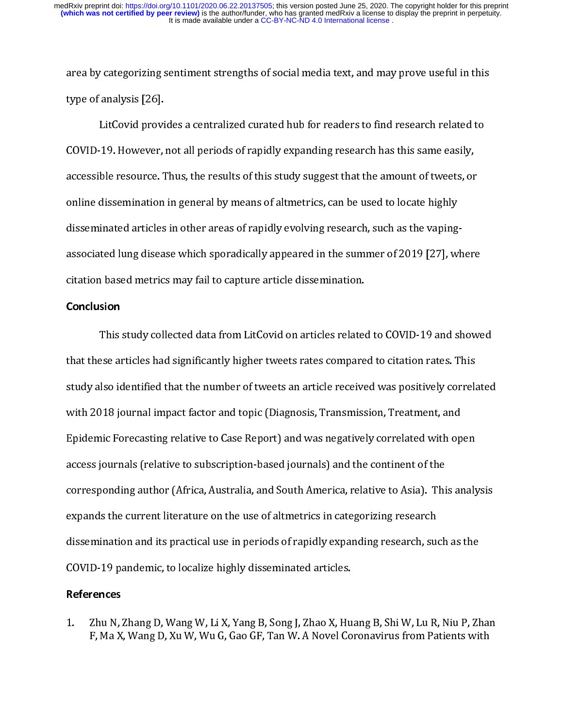type of analysis [26].<br>LitCovid provides a centralized curated hub for readers to find research related to<br>COVID-19. However, not all periods of rapidly expanding research has this same easily,<br>accessible resource. Thus, t LitCovid provi<br>COVID-19. However,<br>accessible resource. T<br>online dissemination<br>disseminated articles<br>associated lung disea<br>citation based metric COVID-19. However, not all periods of rapidly expanding research has this same easily,<br>accessible resource. Thus, the results of this study suggest that the amount of tweets, or<br>online dissemination in general by means of accessible resource. Thus, the results of this study suggest that the amount of tweets, or<br>online dissemination in general by means of altmetrics, can be used to locate highly<br>disseminated articles in other areas of rapidl by observal and dissemination in general by means of altmetrics, can be used to locate highly<br>disseminated articles in other areas of rapidly evolving research, such as the vaping-<br>associated lung disease which sporadicall online disseminated articles in other areas of rapidly evolving research, such as the vaping<br>associated lung disease which sporadically appeared in the summer of 2019 [27], wi<br>citation based metrics may fail to capture art

with 2018 journal impact factor and topic (Diagnosis, Transmission, Treatment, and citation based metrics may fail to capture article dissemination.<br> **Conclusion**<br>
This study collected data from LitCovid on articles related to COVID-19 and showe<br>
that these articles had significantly higher tweets rates **Conclusion**<br>
This study collected data from LitCovid on articles related<br>
that these articles had significantly higher tweets rates compare<br>
study also identified that the number of tweets an article receive<br>
with 2018 jo that these articles had significantly higher tweets rates compared to citation rates. This<br>study also identified that the number of tweets an article received was positively correlated<br>with 2018 journal impact factor and t tudy also identified that the number of tweets an article received was positively correlated with 2018 journal impact factor and topic (Diagnosis, Transmission, Treatment, and Epidemic Forecasting relative to Case Report) study 2018 journal impact factor and topic (Diagnosis, Transmission, Treatment, and<br>Epidemic Forecasting relative to Case Report) and was negatively correlated with open<br>access journals (relative to subscription-based jour Epidemic Forecasting relative to Case Report) and was negatively correlated with op<br>access journals (relative to subscription-based journals) and the continent of the<br>corresponding author (Africa, Australia, and South Amer Epidemic Forecast journals (relative to subscription-based journals) and the continent of the<br>corresponding author (Africa, Australia, and South America, relative to Asia). This analy<br>expands the current literature on the corresponding author (Africa, Australia, and South America, relative to Asia). Thi<br>expands the current literature on the use of altmetrics in categorizing research<br>dissemination and its practical use in periods of rapidly expands the current literature on the use of altmetrics in categorizing research<br>dissemination and its practical use in periods of rapidly expanding research, such as the<br>COVID-19 pandemic, to localize highly disseminated expanding the current discurses the current discontinuity of the COVID-19 pandemic, to localize highly disseminated articles.<br> **References**<br>
1. Zhu N, Zhang D, Wang W, Li X, Yang B, Song J, Zhao X, Huang B, Shi W, Lu R, F, disseminated articles.<br>
COVID-19 pandemic, to localize highly disseminated articles.<br>
References<br>
1. Zhu N, Zhang D, Wang W, Li X, Yang B, Song J, Zhao X, Huang B, Shi W, Lu R, Niu P, Zh<br>
F, Ma X, Wang D, Xu W, Wu G, Gao G

References<br>
1. Zhu N, Zhang D, Wang W, Li X, Yang B, Song J, Zhao X, Hu<br>
F, Ma X, Wang D, Xu W, Wu G, Gao GF, Tan W. A Novel Co 1.  $Zhu N$ ,  $F$ ,  $Ma X$ 1. F, Ma X, Wang D, Xu W, Wu G, Gao GF, Tan W. A Novel Coronavirus from Patients with F, Ma X, Wang D, Xu W, Wu G, Gao GF, Tan W. A Novel Coronavirus from Patients with F, Ma  $\mathcal{F}_\mathbf{G}$  , Ma  $\mathcal{F}_\mathbf{G}$  ,  $\mathcal{F}_\mathbf{G}$  and  $\mathcal{F}_\mathbf{G}$  are W. A novel Coronavirus from Patients with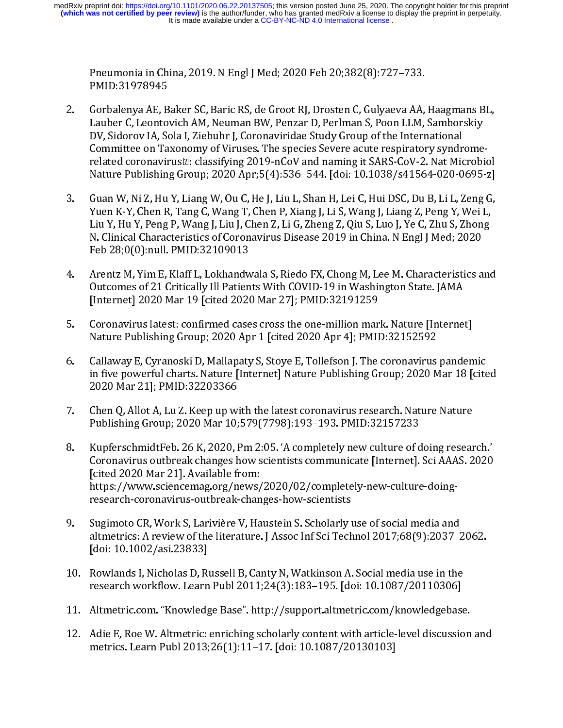- PMID:31978945<br>Gorbalenya AE, Baker SC, Baric RS, de Groot RJ, Drosten C, Gulyaeva AA,<br>Lauber C, Leontovich AM, Neuman BW, Penzar D, Perlman S, Poon LLM,<br>DV, Sidorov IA, Sola I, Ziebuhr J, Coronaviridae Study Group of the I Gorbalenya AE, B<br>Lauber C, Leonto<br>DV, Sidorov IA, So<br>Committee on Ta<br>related coronavir<br>Nature Publishin<br>Guan W, Ni Z, Hu<br>Yuen K-Y, Chen R<br>Liu Y, Hu Y, Peng<br>N. Clinical Charac<br>Feb 28;0(0):null. Lauber C, Leontovich AM, Neuman BW, Penzar D, Perlman S, Poon LLM, Samborskiy<br>DV, Sidorov IA, Sola I, Ziebuhr J, Coronaviridae Study Group of the International<br>Committee on Taxonomy of Viruses. The species Severe acute res
- DV, Sidorov IA, Sola I, Ziebuhr J, Coronaviridae Study Group of the International<br>Committee on Taxonomy of Viruses. The species Severe acute respiratory syndrome<br>related coronavirus and classifying 2019-nCoV and naming it Committee on Taxonomy of Viruses. The species Severe acute respiratory syndrelated coronavirus and classifying 2019-nCoV and naming it SARS-CoV-2. Nat Mic Nature Publishing Group; 2020 Apr;5(4):536–544. [doi: 10.1038/s4156 Nature Publishing Group; 2020 Apr;5(4):536–544. [doi: 10.1038/s41564-020-0695-z]<br>Guan W, Ni Z, Hu Y, Liang W, Ou C, He J, Liu L, Shan H, Lei C, Hui DSC, Du B, Li L, Zeng G,<br>Yuen K-Y, Chen R, Tang C, Wang T, Chen P, Xiang J Guan W, Ni Z, Hu Y, Liang W, Ou C, He J, Liu L, Shan H, Lei C, Hui DSC, Du B, Li L, Zeng G, Yuen K-Y, Chen R, Tang C, Wang T, Chen P, Xiang J, Li S, Wang J, Liang Z, Peng Y, Wei L, Liu Y, Hu Y, Peng P, Wang J, Liu J, Chen 103. Yuen K-Y, Chen R, Tang C, Wang T, Chen P, Xiang J, Li S, Wang J, Liang Z, Peng Y, Wei L,<br>
12. Liu Y, Hu Y, Peng P, Wang J, Liu J, Chen Z, Li G, Zheng Z, Qiu S, Luo J, Ye C, Zhu S, Zhong<br>
12. Clinical Characteristics o Liu Y, Hu Y, Peng P, Wang J, Liu J, Chen Z, Li G, Zheng Z, Qiu S, Luo J, Ye C, Zhu S, Zhong<br>N. Clinical Characteristics of Coronavirus Disease 2019 in China. N Engl J Med; 2020<br>Feb 28;0(0):null. PMID:32109013<br>Arentz M, Yim
- N. Clinical Characteristics of Coronavirus Disease 2019 in China. N Engl J Med; 2020<br>Feb 28;0(0):null. PMID:32109013<br>Arentz M, Yim E, Klaff L, Lokhandwala S, Riedo FX, Chong M, Lee M. Characteristics and<br>Outcomes of 21 Cri Feb 28;0(0):null. PMID:32109013<br>Arentz M, Yim E, Klaff L, Lokhandwala S, Riedo FX, Chong M, Lee M. Characteristics a<br>Outcomes of 21 Critically Ill Patients With COVID-19 in Washington State. JAMA<br>[Internet] 2020 Mar 19 [ci France 29;2011111 Priest 2012<br>Arentz M, Yim E, Klaff L, Lokhandw<br>Outcomes of 21 Critically Ill Patien<br>[Internet] 2020 Mar 19 [cited 2020<br>Coronavirus latest: confirmed case<br>Nature Publishing Group; 2020 Ap<br>Callaway E, Cyran
- Coronavirus latest: confirmed cases cross the one-million mark. Nature [Internet]<br>Nature Publishing Group; 2020 Apr 1 [cited 2020 Apr 4]; PMID:32152592
- Outcomes of 21 Critically III Patients With COVID-19 in Washington State. JAMA<br>
[Internet] 2020 Mar 19 [cited 2020 Mar 27]; PMID:32191259<br>
5. Coronavirus latest: confirmed cases cross the one-million mark. Nature [Internet [Internet] 2020 Mar 19 [cited 2020 Mar 27]; PMID:32191259<br>
Coronavirus latest: confirmed cases cross the one-million mark. Nature [Interne<br>
Nature Publishing Group; 2020 Apr 1 [cited 2020 Apr 4]; PMID:32152592<br>
Callaway E,
- 
- Coronavirus latest: confirmed cases cross the one-million mar<br>Nature Publishing Group; 2020 Apr 1 [cited 2020 Apr 4]; PMII<br>Callaway E, Cyranoski D, Mallapaty S, Stoye E, Tollefson J. The<br>in five powerful charts. Nature [In Nature Publishing Group; 2020 Apr 1 [cited 2020 Apr 4]; PMID:32152592<br>
6. Callaway E, Cyranoski D, Mallapaty S, Stoye E, Tollefson J. The coronavirus pandem<br>
in five powerful charts. Nature [Internet] Nature Publishing Gro Callaway E, Cyranoski D, Mallapaty S, Stoye E, Tollefson J. The coronavirus<br>in five powerful charts. Nature [Internet] Nature Publishing Group; 2020 M<br>2020 Mar 21]; PMID:32203366<br>Chen Q, Allot A, Lu Z. Keep up with the la in five powerful charts. Nature [Internet] Nature Publishing Group; 2020 Mar 18 [cite 2020 Mar 21]; PMID:32203366<br>
7. Chen Q. Allot A, Lu Z. Keep up with the latest coronavirus research. Nature Nature Publishing Group; 20 2020 Mar 21]; PMID:32203366<br>
Chen Q, Allot A, Lu Z. Keep up with the latest coronavirus research. Nature Nature<br>
Publishing Group; 2020 Mar 10;579(7798):193–193. PMID:32157233<br>
KupferschmidtFeb. 26 K, 2020, Pm 2:05. 'A com 2020 Mar 21]; Preservation<br>Chen Q, Allot A, Lu Z. Keep up w.<br>Publishing Group; 2020 Mar 10;<br>KupferschmidtFeb. 26 K, 2020, l<br>Coronavirus outbreak changes l<br>[cited 2020 Mar 21]. Available fi<br>https://www.sciencemag.org/n<br>rese Publishing Group; 2020 Mar 10;579(7798):193–193. PMID:32157233<br>
8. KupferschmidtFeb. 26 K, 2020, Pm 2:05. 'A completely new culture of doing research.<br>
Coronavirus outbreak changes how scientists communicate [Internet]. Sc Published Technology (1932)<br>
RupferschmidtFeb. 26 K, 2020, Pm 2:05. 'A completely new culture of c<br>
Coronavirus outbreak changes how scientists communicate [Internet].<br>
[cited 2020 Mar 21]. Available from:<br>
https://www.sci Coronavirus outbreak changes how scientists communicate [Internet]. Sci AAAS. 2020<br>
[cited 2020 Mar 21]. Available from:<br>
https://www.sciencemag.org/news/2020/02/completely-new-culture-doing-<br>
research-coronavirus-outbreak [cited 2020 Mar 21]. Available from:<br>https://www.sciencemag.org/news/2020/02/completely-new-culture-doing-<br>research-coronavirus-outbreak-changes-how-scientists<br>Sugimoto CR, Work S, Larivière V, Haustein S. Scholarly use of
- research-coronavirus-outbreak-chan<br>Fesearch-coronavirus-outbreak-chan<br>Sugimoto CR, Work S, Larivière V, Ha<br>altmetrics: A review of the literature<br>[doi: 10.1002/asi.23833]<br>Rowlands I, Nicholas D, Russell B, Car<br>research wor Sugimoto CR, Work S, Larivière V, Haustein S. Scholarly u<br>altmetrics: A review of the literature. J Assoc Inf Sci Tech<br>[doi: 10.1002/asi.23833]<br>Rowlands I, Nicholas D, Russell B, Canty N, Watkinson A.<br>research workflow. Le altmetrics: A review of the literature.] Assoc Inf Sci Technol 2017;68(9):2037-1<br>[doi: 10.1002/asi.23833]<br>10. Rowlands I, Nicholas D, Russell B, Canty N, Watkinson A. Social media use in the<br>research workflow. Learn Publ 2
- Rowlands I, Nicholas D, Ru<br>research workflow. Learn<br>Altmetric.com. "Knowledg<br>Adie E, Roe W. Altmetric:<br>metrics. Learn Publ 2013;
- 
- [doi: 10.1002/asi.23833]<br>Rowlands I, Nicholas D, Russell B, Canty N, Watkinson A. Social media use in the<br>research workflow. Learn Publ 2011;24(3):183–195. [doi: 10.1087/20110306]<br>Altmetric.com. "Knowledge Base". http://su research workflow. Learn Publ 2011;24(3):183–195. [doi: 10.1087/20110306]<br>11. Altmetric.com. "Knowledge Base". http://support.altmetric.com/knowledgebase<br>12. Adie E, Roe W. Altmetric: enriching scholarly content with artic Altmetric.com. "Knowledge Base". http://support.altmetric.com/knowledgebase<br>Adie E, Roe W. Altmetric: enriching scholarly content with article-level discussic<br>metrics. Learn Publ 2013;26(1):11–17. [doi: 10.1087/20130103] 12. Adie E, Roe W. Altmetric: enriching scholarly content with article-level discussion metrics. Learn Publ 2013;26(1):11-17. [doi: 10.1087/20130103] 12. Additional relationships scholarly content with article-level discussion are metrics. Learn Publ 2013;26(1):11–17. [doi: 10.1087/20130103] metrics. Learn Publics. Learn Publics. Learn Public 2013;<br>26.1087. [doi: 10.1087/2013]<br>26.1087. [doi: 10.1087/2013]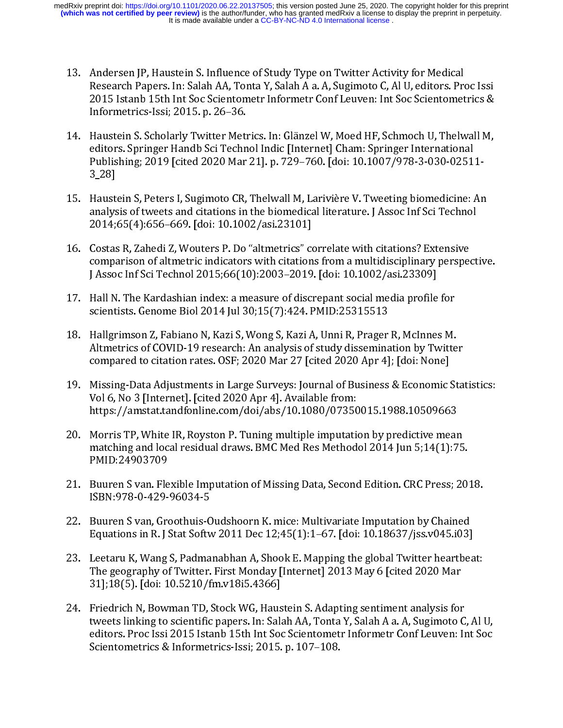- 
- Research Papers. In: Salah AA, Tonta Y, Salah A a. A, Sugimoto C, Al U, editors. Pre 2015 Istanb 15th Int Soc Scientometr Informetr Conf Leuven: Int Soc Scientomet<br>Informetrics-Issi; 2015. p. 26–36.<br>14. Haustein S. Scholar 2015 Istanb 15th Int Soc Scientometr Informetr Conf Leuven: Int Soc Scientometrics &<br>Informetrics-Issi; 2015. p. 26–36.<br>Haustein S. Scholarly Twitter Metrics. In: Glänzel W, Moed HF, Schmoch U, Thelwall M,<br>editors. Springe Informetrics-Issi; 2015. p. 26–36.<br>Haustein S. Scholarly Twitter Metrics. In: Glänzel W, Moed HF, Schmoch U, Thelwall M,<br>editors. Springer Handb Sci Technol Indic [Internet] Cham: Springer International<br>Publishing; 2019 [c Haustein S. Scholarly Twitter Meti<br>editors. Springer Handb Sci Techn<br>Publishing; 2019 [cited 2020 Mar<br>3\_28]<br>Haustein S, Peters I, Sugimoto CR,<br>analysis of tweets and citations in<br>2014;65(4):656–669. [doi: 10.100<br>Costas R, editors. Springer Handb Sci Technol Indic [Internet] Cham: Springer International<br>
Publishing: 2019 [cited 2020 Mar 21]. p. 729–760. [doi: 10.1007/978-3-030-02511-<br>
3\_28]<br>
15. Haustein S, Peters I, Sugimoto CR, Thelwall M
- Publishing: 2019 [cited 2020 Mar 21]. p. 729–760. [doi: 10.1007/978-3-030-0251<br>3\_28]<br>Haustein S, Peters I, Sugimoto CR, Thelwall M, Larivière V. Tweeting biomedicine: analysis of tweets and citations in the biomedical lite But the Vietner Computer of Computer Computer Computer (Arthur Computer 2020)<br>
Haustein S, Peters I, Sugimoto CR, Thelwall M, Larivière V. Tweeting biomedicine: Arthur analysis of tweets and citations in the biomedical lit 3\_28]
- analysis of tweets and citations in the biomedical literature. J Assoc Inf Sci Technol<br>
2014;65(4):656–669. [doi: 10.1002/asi.23101]<br>
16. Costas R, Zahedi Z, Wouters P. Do "altmetrics" correlate with citations? Extensive<br> 2014;65(4):656–669. [doi: 10.1002/asi.23101]<br>
Costas R, Zahedi Z, Wouters P. Do "altmetrics" correlate with citations? Extensive<br>
comparison of altmetric indicators with citations from a multidisciplinary perspect<br>
J Assoc 2014; Costas R, Zahedi Z, Wouters P. Do "altmetrics" comparison of altmetric indicators with citation<br>J Assoc Inf Sci Technol 2015;66(10):2003–2019<br>Hall N. The Kardashian index: a measure of discussion<br>scientists. Genome B
- 
- 
- comparison of altmetric indicators with citations from a multidisciplinary perspections and Solvections (16. 2003–2019). [doi: 10.1002/asi.23309]<br>
17. Hall N. The Kardashian index: a measure of discrepant social media prof J Assoc Inf Sci Technol 2015;66(10):2003–2019. [doi: 10.1002/asi.23309]<sup>\*</sup><br>Hall N. The Kardashian index: a measure of discrepant social media profile for<br>scientists. Genome Biol 2014 Jul 30;15(7):424. PMID:25315513<br>Hallgri Hall N. The Kardashian index: a measure of discrepant social media profile<br>scientists. Genome Biol 2014 Jul 30;15(7):424. PMID:25315513<br>Hallgrimson Z, Fabiano N, Kazi S, Wong S, Kazi A, Unni R, Prager R, McInnes<br>Altmetrics scientists. Genome Biol 2014 Jul 30;15(7):424. PMID:25315513<br>
18. Hall grimson Z, Fabiano N, Kazi S, Wong S, Kazi A, Unni R, Prager R, McInnes M.<br>
Altmetrics of COVID-19 research: An analysis of study dissemination by Twit Hallgrimson Z, Fabiano N, Kazi S, Wong S, Kazi A, Unni R, Prager<br>Altmetrics of COVID-19 research: An analysis of study dissemina<br>compared to citation rates. OSF; 2020 Mar 27 [cited 2020 Apr 4]<br>Missing-Data Adjustments in L Altmetrics of COVID-19 research: An analysis of study dissemination by Twitte<br>compared to citation rates. OSF; 2020 Mar 27 [cited 2020 Apr 4]; [doi: None]<br>19. Missing-Data Adjustments in Large Surveys: Journal of Business compared to citation rates. OSF; 2020 Mar 27 [cited 2020 Apr 4]; [doi: None]<br>Missing-Data Adjustments in Large Surveys: Journal of Business & Economic Sta<br>Vol 6, No 3 [Internet]. [cited 2020 Apr 4]. Available from:<br>https:/ Example 2020 Marchetter 2021 2020 April 2020 April 2020 April 2020 April 2020 April 2020 April 2020 April 2020<br>
Vol 6, No 3 [Internet]. [cited 2020 Apr 4]. Available from:<br>
https://amstat.tandfonline.com/doi/abs/10.1080/07
- 19. Monorantical Advantagement (Fitted 2020 Apr 4). Available from:<br>
https://amstat.tandfonline.com/doi/abs/10.1080/07350015.1988.10509663<br>
20. Morris TP, White IR, Royston P. Tuning multiple imputation by predictive mean<br> https://amstat.tandfonline.com/doi/abs/10.1080/07350<br>Morris TP, White IR, Royston P. Tuning multiple imputation<br>atching and local residual draws. BMC Med Res Method<br>PMID:24903709<br>Buuren S van. Flexible Imputation of Missin Morris TP, White IR, Royston P. Tuning multiple imputation by predictive mean<br>matching and local residual draws. BMC Med Res Methodol 2014 Jun 5;14(1):7<br>PMID:24903709<br>Buuren S van. Flexible Imputation of Missing Data, Seco
- 
- 
- matching and local residual draws. BMC Med Res Methodol 2014 Jun 5;14(1):75<br>
PMID:24903709<br>
21. Buuren S van. Flexible Imputation of Missing Data, Second Edition. CRC Press; 2(<br>
ISBN:978-0-429-96034-5<br>
22. Buuren S van, Gr PMID:24903709<br>Buuren S van. Flexible Imputation of Missing Data, Second Edition. CRC Press; 20<br>ISBN:978-0-429-96034-5<br>Buuren S van, Groothuis-Oudshoorn K. mice: Multivariate Imputation by Chained<br>Equations in R. J Stat Sof
- Buuren S van. Fle<br>ISBN:978-0-429-<br>Buuren S van, Greeguations in R. J<br>Leetaru K, Wang<br>The geography of<br>31];18(5). [doi: 1<br>Friedrich N, Bow:<br>tweets linking to<br>editors. Proc Issi 22. Buuren S van, Groothuis-Oudshoorn K. mice: Multivariate Imputation by Chained<br>Equations in R. J Stat Softw 2011 Dec 12;45(1):1-67. [doi: 10.18637/jss.v045.i03]<br>23. Leetaru K, Wang S, Padmanabhan A, Shook E. Mapping the Buuren S van, Groothuis-C<br>Equations in R. J Stat Softv<br>Leetaru K, Wang S, Padma<br>The geography of Twitter.<br>31];18(5). [doi: 10.5210/f<br>Friedrich N, Bowman TD, :<br>tweets linking to scientific<br>editors. Proc Issi 2015 Ista<br>Scien Equations in R. J Stat Softw 2011 Dec 12;45(1):1–67. [doi: 10.18637/jss.v045.i03]<br>
23. Leetaru K, Wang S, Padmanabhan A, Shook E. Mapping the global Twitter heartbe:<br>
The geography of Twitter. First Monday [Internet] 2013 Eetaru K, Wang S, Padmanabhan A, Shook E. Mapping the global Twitter heartbear<br>The geography of Twitter. First Monday [Internet] 2013 May 6 [cited 2020 Mar<br>31];18(5). [doi: 10.5210/fm.v.18i5.4366]<br>Friedrich N, Bowman TD, S The geography of Twitter. First Monday [Internet] 2013 May 6 [cited 2020 Mar 31];18(5). [doi: 10.5210/fm.v18i5.4366]<br>24. Friedrich N, Bowman TD, Stock WG, Haustein S. Adapting sentiment analysis for tweets linking to scie  $31$ ;18(5). [doi: 10.5210/fm.v18i5.4366]<br>Friedrich N, Bowman TD, Stock WG, Haustein S. Adapting sentiment analysis for<br>tweets linking to scientific papers. In: Salah AA, Tonta Y, Salah A a. A, Sugimoto (<br>editors. Proc Iss Friedrich N, Bowman TD, Stock WG, Haus<br>tweets linking to scientific papers. In: Sala<br>editors. Proc Issi 2015 Istanb 15th Int Soc<br>Scientometrics & Informetrics-Issi; 2015. 24. Friedrich N, Bowman Tower Stock Weets linking to scientific papers. In: Salah AA, Tonta Y, Salah A a. A, Sugimoto C, editors. Proc Issi 2015 Istanb 15th Int Soc Scientometr Informetr Conf Leuven: In Scientometrics & In editors. Proc Issi 2015 Istanb 15th Int Soc Scientometr Informetr Conf Leuven: Int Soc<br>Scientometrics & Informetrics-Issi; 2015. p. 107–108.<br>. Scientometrics & Informetrics-Issi; 2015. p. 107–108. Scientometrics & Informetrics-Issi; 2015. p. 107–108.